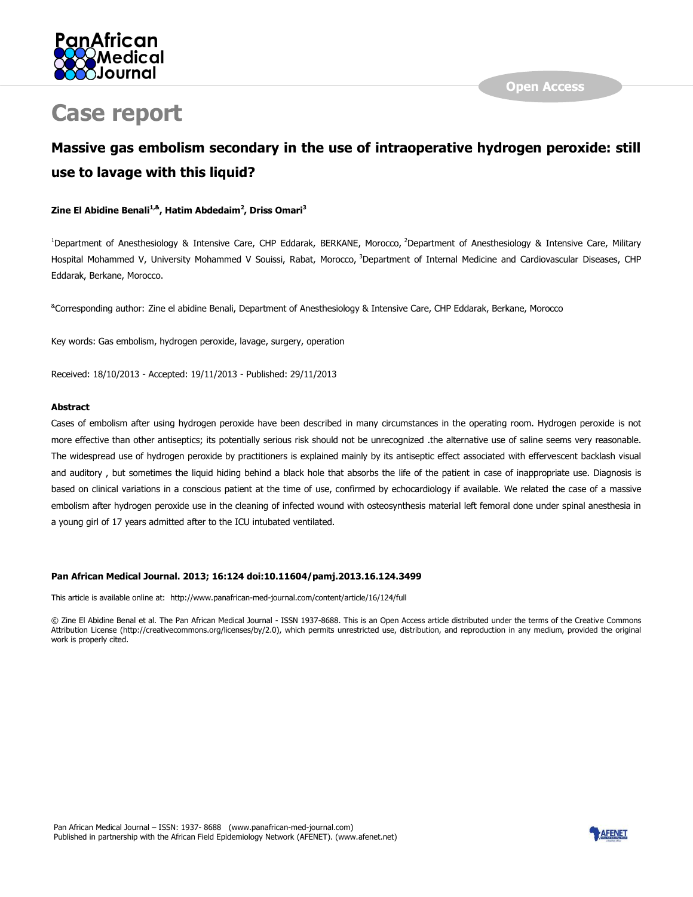

# **Case report**

# **Massive gas embolism secondary in the use of intraoperative hydrogen peroxide: still use to lavage with this liquid?**

#### **Zine El Abidine Benali1,&, Hatim Abdedaim<sup>2</sup> , Driss Omari<sup>3</sup>**

<sup>1</sup>Department of Anesthesiology & Intensive Care, CHP Eddarak, BERKANE, Morocco, <sup>2</sup>Department of Anesthesiology & Intensive Care, Military Hospital Mohammed V, University Mohammed V Souissi, Rabat, Morocco, <sup>3</sup>Department of Internal Medicine and Cardiovascular Diseases, CHP Eddarak, Berkane, Morocco.

&Corresponding author: Zine el abidine Benali, Department of Anesthesiology & Intensive Care, CHP Eddarak, Berkane, Morocco

Key words: Gas embolism, hydrogen peroxide, lavage, surgery, operation

Received: 18/10/2013 - Accepted: 19/11/2013 - Published: 29/11/2013

#### **Abstract**

Cases of embolism after using hydrogen peroxide have been described in many circumstances in the operating room. Hydrogen peroxide is not more effective than other antiseptics; its potentially serious risk should not be unrecognized .the alternative use of saline seems very reasonable. The widespread use of hydrogen peroxide by practitioners is explained mainly by its antiseptic effect associated with effervescent backlash visual and auditory , but sometimes the liquid hiding behind a black hole that absorbs the life of the patient in case of inappropriate use. Diagnosis is based on clinical variations in a conscious patient at the time of use, confirmed by echocardiology if available. We related the case of a massive embolism after hydrogen peroxide use in the cleaning of infected wound with osteosynthesis material left femoral done under spinal anesthesia in a young girl of 17 years admitted after to the ICU intubated ventilated.

#### **Pan African Medical Journal. 2013; 16:124 doi:10.11604/pamj.2013.16.124.3499**

This article is available online at: http://www.panafrican-med-journal.com/content/article/16/124/full

© Zine El Abidine Benal et al. The Pan African Medical Journal - ISSN 1937-8688. This is an Open Access article distributed under the terms of the Creative Commons Attribution License (http://creativecommons.org/licenses/by/2.0), which permits unrestricted use, distribution, and reproduction in any medium, provided the original work is properly cited.

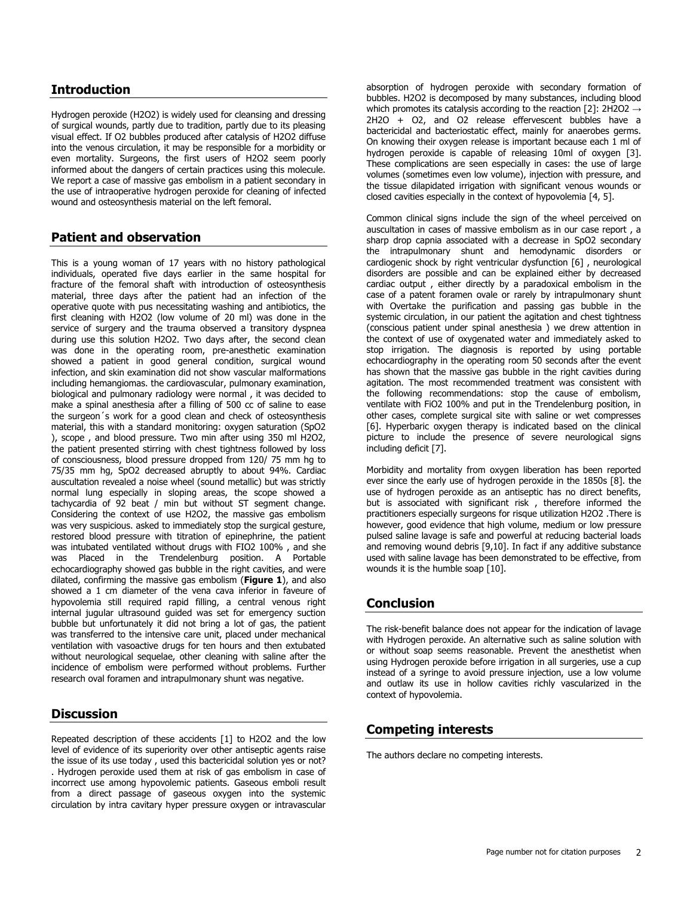### **Introduction**

Hydrogen peroxide (H2O2) is widely used for cleansing and dressing of surgical wounds, partly due to tradition, partly due to its pleasing visual effect. If O2 bubbles produced after catalysis of H2O2 diffuse into the venous circulation, it may be responsible for a morbidity or even mortality. Surgeons, the first users of H2O2 seem poorly informed about the dangers of certain practices using this molecule. We report a case of massive gas embolism in a patient secondary in the use of intraoperative hydrogen peroxide for cleaning of infected wound and osteosynthesis material on the left femoral.

### **Patient and observation**

This is a young woman of 17 years with no history pathological individuals, operated five days earlier in the same hospital for fracture of the femoral shaft with introduction of osteosynthesis material, three days after the patient had an infection of the operative quote with pus necessitating washing and antibiotics, the first cleaning with H2O2 (low volume of 20 ml) was done in the service of surgery and the trauma observed a transitory dyspnea during use this solution H2O2. Two days after, the second clean was done in the operating room, pre-anesthetic examination showed a patient in good general condition, surgical wound infection, and skin examination did not show vascular malformations including hemangiomas. the cardiovascular, pulmonary examination, biological and pulmonary radiology were normal , it was decided to make a spinal anesthesia after a filling of 500 cc of saline to ease the surgeon´s work for a good clean and check of osteosynthesis material, this with a standard monitoring: oxygen saturation (SpO2 ), scope , and blood pressure. Two min after using 350 ml H2O2, the patient presented stirring with chest tightness followed by loss of consciousness, blood pressure dropped from 120/ 75 mm hg to 75/35 mm hg, SpO2 decreased abruptly to about 94%. Cardiac auscultation revealed a noise wheel (sound metallic) but was strictly normal lung especially in sloping areas, the scope showed a tachycardia of 92 beat / min but without ST segment change. Considering the context of use H2O2, the massive gas embolism was very suspicious. asked to immediately stop the surgical gesture, restored blood pressure with titration of epinephrine, the patient was intubated ventilated without drugs with FIO2 100% , and she was Placed in the Trendelenburg position. A Portable echocardiography showed gas bubble in the right cavities, and were dilated, confirming the massive gas embolism (**[Figure 1](javascript:PopupFigure()**), and also showed a 1 cm diameter of the vena cava inferior in faveure of hypovolemia still required rapid filling, a central venous right internal jugular ultrasound guided was set for emergency suction bubble but unfortunately it did not bring a lot of gas, the patient was transferred to the intensive care unit, placed under mechanical ventilation with vasoactive drugs for ten hours and then extubated without neurological sequelae, other cleaning with saline after the incidence of embolism were performed without problems. Further research oval foramen and intrapulmonary shunt was negative.

#### **Discussion**

Repeated description of these accidents [\[1\]](http://www.panafrican-med-journal.com/content/article/16/124/full/#ref1) to H2O2 and the low level of evidence of its superiority over other antiseptic agents raise the issue of its use today , used this bactericidal solution yes or not? . Hydrogen peroxide used them at risk of gas embolism in case of incorrect use among hypovolemic patients. Gaseous emboli result from a direct passage of gaseous oxygen into the systemic circulation by intra cavitary hyper pressure oxygen or intravascular

absorption of hydrogen peroxide with secondary formation of bubbles. H2O2 is decomposed by many substances, including blood which promotes its catalysis according to the reaction [\[2\]](http://www.panafrican-med-journal.com/content/article/16/124/full/#ref2): 2H2O2  $\rightarrow$ 2H2O + O2, and O2 release effervescent bubbles have a bactericidal and bacteriostatic effect, mainly for anaerobes germs. On knowing their oxygen release is important because each 1 ml of hydrogen peroxide is capable of releasing 10ml of oxygen [\[3\]](http://www.panafrican-med-journal.com/content/article/16/124/full/#ref3). These complications are seen especially in cases: the use of large volumes (sometimes even low volume), injection with pressure, and the tissue dilapidated irrigation with significant venous wounds or closed cavities especially in the context of hypovolemia [\[4,](http://www.panafrican-med-journal.com/content/article/16/124/full/#ref4) [5\]](http://www.panafrican-med-journal.com/content/article/16/124/full/#ref 5).

Common clinical signs include the sign of the wheel perceived on auscultation in cases of massive embolism as in our case report , a sharp drop capnia associated with a decrease in SpO2 secondary the intrapulmonary shunt and hemodynamic disorders or cardiogenic shock by right ventricular dysfunction [\[6\]](http://www.panafrican-med-journal.com/content/article/16/124/full/#ref6) , neurological disorders are possible and can be explained either by decreased cardiac output , either directly by a paradoxical embolism in the case of a patent foramen ovale or rarely by intrapulmonary shunt with Overtake the purification and passing gas bubble in the systemic circulation, in our patient the agitation and chest tightness (conscious patient under spinal anesthesia ) we drew attention in the context of use of oxygenated water and immediately asked to stop irrigation. The diagnosis is reported by using portable echocardiography in the operating room 50 seconds after the event has shown that the massive gas bubble in the right cavities during agitation. The most recommended treatment was consistent with the following recommendations: stop the cause of embolism, ventilate with FiO2 100% and put in the Trendelenburg position, in other cases, complete surgical site with saline or wet compresses [\[6\]](http://www.panafrican-med-journal.com/content/article/16/124/full/#ref6). Hyperbaric oxygen therapy is indicated based on the clinical picture to include the presence of severe neurological signs including deficit [\[7\]](http://www.panafrican-med-journal.com/content/article/16/124/full/#ref7).

Morbidity and mortality from oxygen liberation has been reported ever since the early use of hydrogen peroxide in the 1850s [\[8\]](http://www.panafrican-med-journal.com/content/article/16/124/full/#ref8). the use of hydrogen peroxide as an antiseptic has no direct benefits, but is associated with significant risk , therefore informed the practitioners especially surgeons for risque utilization H2O2 .There is however, good evidence that high volume, medium or low pressure pulsed saline lavage is safe and powerful at reducing bacterial loads and removing wound debris [\[9](http://www.panafrican-med-journal.com/content/article/16/124/full/#ref9)[,10\]](http://www.panafrican-med-journal.com/content/article/16/124/full/#ref 10). In fact if any additive substance used with saline lavage has been demonstrated to be effective, from wounds it is the humble soap [\[10\]](http://www.panafrican-med-journal.com/content/article/16/124/full/#ref10).

# **Conclusion**

The risk-benefit balance does not appear for the indication of lavage with Hydrogen peroxide. An alternative such as saline solution with or without soap seems reasonable. Prevent the anesthetist when using Hydrogen peroxide before irrigation in all surgeries, use a cup instead of a syringe to avoid pressure injection, use a low volume and outlaw its use in hollow cavities richly vascularized in the context of hypovolemia.

# **Competing interests**

The authors declare no competing interests.